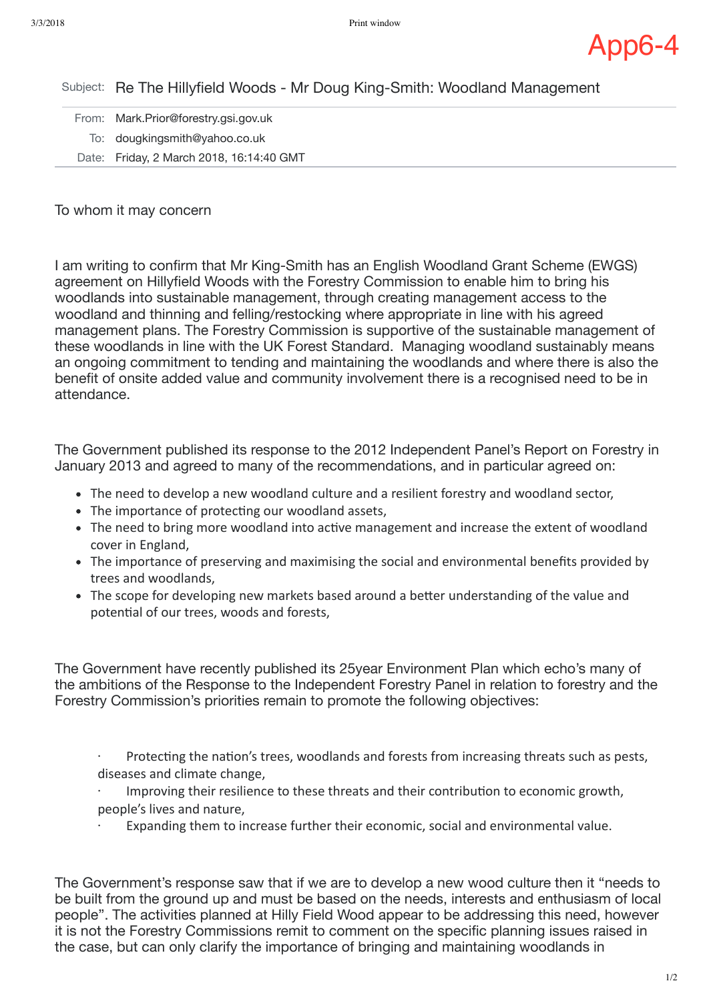

Subject: Re The Hillyfield Woods - Mr Doug King-Smith: Woodland Management

| From: Mark.Prior@forestry.gsi.gov.uk     |
|------------------------------------------|
| To: dougkingsmith@yahoo.co.uk            |
| Date: Friday, 2 March 2018, 16:14:40 GMT |

## To whom it may concern

I am writing to confirm that Mr King-Smith has an English Woodland Grant Scheme (EWGS) agreement on Hillyfield Woods with the Forestry Commission to enable him to bring his woodlands into sustainable management, through creating management access to the woodland and thinning and felling/restocking where appropriate in line with his agreed management plans. The Forestry Commission is supportive of the sustainable management of these woodlands in line with the UK Forest Standard. Managing woodland sustainably means an ongoing commitment to tending and maintaining the woodlands and where there is also the benefit of onsite added value and community involvement there is a recognised need to be in attendance.

The Government published its response to the 2012 Independent Panel's Report on Forestry in January 2013 and agreed to many of the recommendations, and in particular agreed on:

- The need to develop a new woodland culture and a resilient forestry and woodland sector,
- The importance of protecting our woodland assets,
- The need to bring more woodland into active management and increase the extent of woodland cover in England,
- The importance of preserving and maximising the social and environmental benefits provided by trees and woodlands,
- The scope for developing new markets based around a better understanding of the value and potential of our trees, woods and forests,

The Government have recently published its 25year Environment Plan which echo's many of the ambitions of the Response to the Independent Forestry Panel in relation to forestry and the Forestry Commission's priorities remain to promote the following objectives:

Protecting the nation's trees, woodlands and forests from increasing threats such as pests, diseases and climate change,

Improving their resilience to these threats and their contribution to economic growth, people's lives and nature,

Expanding them to increase further their economic, social and environmental value.

The Government's response saw that if we are to develop a new wood culture then it "needs to be built from the ground up and must be based on the needs, interests and enthusiasm of local people". The activities planned at Hilly Field Wood appear to be addressing this need, however it is not the Forestry Commissions remit to comment on the specific planning issues raised in the case, but can only clarify the importance of bringing and maintaining woodlands in